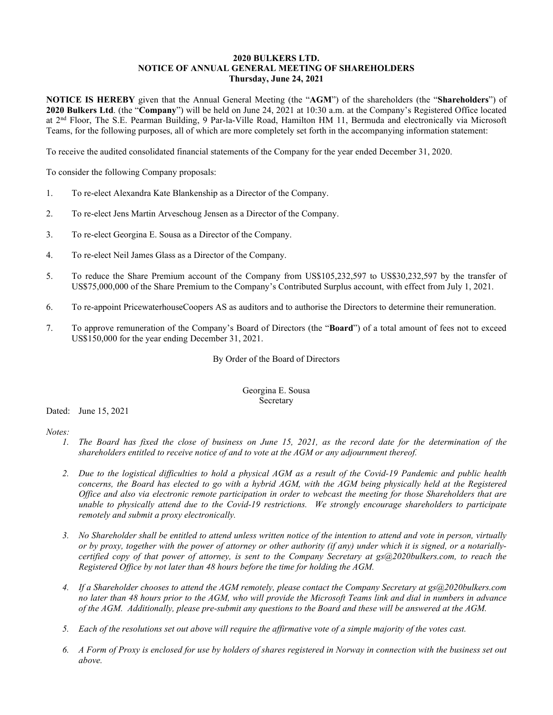## **2020 BULKERS LTD. NOTICE OF ANNUAL GENERAL MEETING OF SHAREHOLDERS Thursday, June 24, 2021**

**NOTICE IS HEREBY** given that the Annual General Meeting (the "**AGM**") of the shareholders (the "**Shareholders**") of **2020 Bulkers Ltd**. (the "**Company**") will be held on June 24, 2021 at 10:30 a.m. at the Company's Registered Office located at 2<sup>nd</sup> Floor, The S.E. Pearman Building, 9 Par-la-Ville Road, Hamilton HM 11, Bermuda and electronically via Microsoft Teams, for the following purposes, all of which are more completely set forth in the accompanying information statement:

To receive the audited consolidated financial statements of the Company for the year ended December 31, 2020.

To consider the following Company proposals:

- 1. To re-elect Alexandra Kate Blankenship as a Director of the Company.
- 2. To re-elect Jens Martin Arveschoug Jensen as a Director of the Company.
- 3. To re-elect Georgina E. Sousa as a Director of the Company.
- 4. To re-elect Neil James Glass as a Director of the Company.
- 5. To reduce the Share Premium account of the Company from US\$105,232,597 to US\$30,232,597 by the transfer of US\$75,000,000 of the Share Premium to the Company's Contributed Surplus account, with effect from July 1, 2021.
- 6. To re-appoint PricewaterhouseCoopers AS as auditors and to authorise the Directors to determine their remuneration.
- 7. To approve remuneration of the Company's Board of Directors (the "**Board**") of a total amount of fees not to exceed US\$150,000 for the year ending December 31, 2021.

By Order of the Board of Directors

Georgina E. Sousa Secretary

Dated: June 15, 2021

*Notes:*

- *1. The Board has fixed the close of business on June 15, 2021, as the record date for the determination of the shareholders entitled to receive notice of and to vote at the AGM or any adjournment thereof.*
- *2. Due to the logistical difficulties to hold a physical AGM as a result of the Covid-19 Pandemic and public health concerns, the Board has elected to go with a hybrid AGM, with the AGM being physically held at the Registered Office and also via electronic remote participation in order to webcast the meeting for those Shareholders that are unable to physically attend due to the Covid-19 restrictions. We strongly encourage shareholders to participate remotely and submit a proxy electronically.*
- *3. No Shareholder shall be entitled to attend unless written notice of the intention to attend and vote in person, virtually or by proxy, together with the power of attorney or other authority (if any) under which it is signed, or a notariallycertified copy of that power of attorney, is sent to the Company Secretary at gs@2020bulkers.com, to reach the Registered Office by not later than 48 hours before the time for holding the AGM.*
- *4. If a Shareholder chooses to attend the AGM remotely, please contact the Company Secretary at gs@2020bulkers.com no later than 48 hours prior to the AGM, who will provide the Microsoft Teams link and dial in numbers in advance of the AGM. Additionally, please pre-submit any questions to the Board and these will be answered at the AGM.*
- *5. Each of the resolutions set out above will require the affirmative vote of a simple majority of the votes cast.*
- *6. A Form of Proxy is enclosed for use by holders of shares registered in Norway in connection with the business set out above.*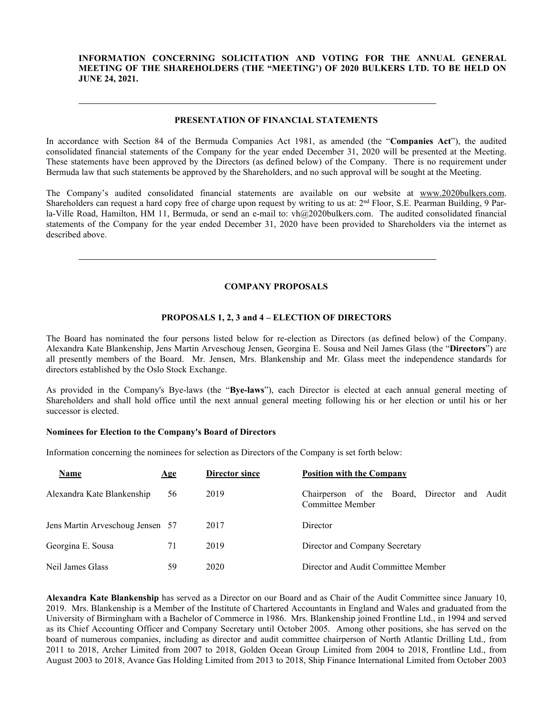## **INFORMATION CONCERNING SOLICITATION AND VOTING FOR THE ANNUAL GENERAL MEETING OF THE SHAREHOLDERS (THE "MEETING') OF 2020 BULKERS LTD. TO BE HELD ON JUNE 24, 2021.**

#### **PRESENTATION OF FINANCIAL STATEMENTS**

In accordance with Section 84 of the Bermuda Companies Act 1981, as amended (the "**Companies Act**"), the audited consolidated financial statements of the Company for the year ended December 31, 2020 will be presented at the Meeting. These statements have been approved by the Directors (as defined below) of the Company. There is no requirement under Bermuda law that such statements be approved by the Shareholders, and no such approval will be sought at the Meeting.

The Company's audited consolidated financial statements are available on our website at [www.2020bulkers.com.](http://www.2020bulkers.com/) Shareholders can request a hard copy free of charge upon request by writing to us at:  $2<sup>nd</sup>$  Floor, S.E. Pearman Building, 9 Parla-Ville Road, Hamilton, HM 11, Bermuda, or send an e-mail to: vh@2020bulkers.com. The audited consolidated financial statements of the Company for the year ended December 31, 2020 have been provided to Shareholders via the internet as described above.

# **COMPANY PROPOSALS**

#### **PROPOSALS 1, 2, 3 and 4 – ELECTION OF DIRECTORS**

The Board has nominated the four persons listed below for re-election as Directors (as defined below) of the Company. Alexandra Kate Blankenship, Jens Martin Arveschoug Jensen, Georgina E. Sousa and Neil James Glass (the "**Directors**") are all presently members of the Board. Mr. Jensen, Mrs. Blankenship and Mr. Glass meet the independence standards for directors established by the Oslo Stock Exchange.

As provided in the Company's Bye-laws (the "**Bye-laws**"), each Director is elected at each annual general meeting of Shareholders and shall hold office until the next annual general meeting following his or her election or until his or her successor is elected.

#### **Nominees for Election to the Company's Board of Directors**

Information concerning the nominees for selection as Directors of the Company is set forth below:

| Name                             | Age | Director since | <b>Position with the Company</b>                                 |
|----------------------------------|-----|----------------|------------------------------------------------------------------|
| Alexandra Kate Blankenship       | 56  | 2019           | Chairperson of the Board, Director and Audit<br>Committee Member |
| Jens Martin Arveschoug Jensen 57 |     | 2017           | Director                                                         |
| Georgina E. Sousa                | 71  | 2019           | Director and Company Secretary                                   |
| Neil James Glass                 | 59  | 2020           | Director and Audit Committee Member                              |

**Alexandra Kate Blankenship** has served as a Director on our Board and as Chair of the Audit Committee since January 10, 2019. Mrs. Blankenship is a Member of the Institute of Chartered Accountants in England and Wales and graduated from the University of Birmingham with a Bachelor of Commerce in 1986. Mrs. Blankenship joined Frontline Ltd., in 1994 and served as its Chief Accounting Officer and Company Secretary until October 2005. Among other positions, she has served on the board of numerous companies, including as director and audit committee chairperson of North Atlantic Drilling Ltd., from 2011 to 2018, Archer Limited from 2007 to 2018, Golden Ocean Group Limited from 2004 to 2018, Frontline Ltd., from August 2003 to 2018, Avance Gas Holding Limited from 2013 to 2018, Ship Finance International Limited from October 2003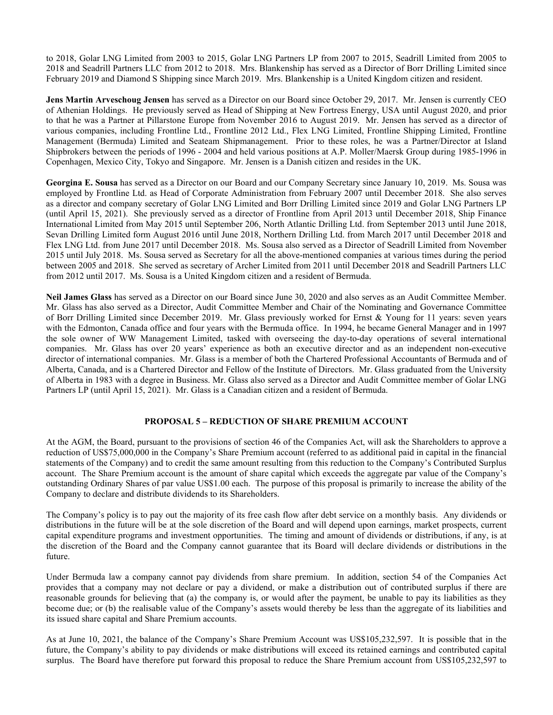to 2018, Golar LNG Limited from 2003 to 2015, Golar LNG Partners LP from 2007 to 2015, Seadrill Limited from 2005 to 2018 and Seadrill Partners LLC from 2012 to 2018. Mrs. Blankenship has served as a Director of Borr Drilling Limited since February 2019 and Diamond S Shipping since March 2019. Mrs. Blankenship is a United Kingdom citizen and resident.

**Jens Martin Arveschoug Jensen** has served as a Director on our Board since October 29, 2017. Mr. Jensen is currently CEO of Athenian Holdings. He previously served as Head of Shipping at New Fortress Energy, USA until August 2020, and prior to that he was a Partner at Pillarstone Europe from November 2016 to August 2019. Mr. Jensen has served as a director of various companies, including Frontline Ltd., Frontline 2012 Ltd., Flex LNG Limited, Frontline Shipping Limited, Frontline Management (Bermuda) Limited and Seateam Shipmanagement. Prior to these roles, he was a Partner/Director at Island Shipbrokers between the periods of 1996 - 2004 and held various positions at A.P. Moller/Maersk Group during 1985-1996 in Copenhagen, Mexico City, Tokyo and Singapore. Mr. Jensen is a Danish citizen and resides in the UK.

**Georgina E. Sousa** has served as a Director on our Board and our Company Secretary since January 10, 2019. Ms. Sousa was employed by Frontline Ltd. as Head of Corporate Administration from February 2007 until December 2018. She also serves as a director and company secretary of Golar LNG Limited and Borr Drilling Limited since 2019 and Golar LNG Partners LP (until April 15, 2021). She previously served as a director of Frontline from April 2013 until December 2018, Ship Finance International Limited from May 2015 until September 206, North Atlantic Drilling Ltd. from September 2013 until June 2018, Sevan Drilling Limited form August 2016 until June 2018, Northern Drilling Ltd. from March 2017 until December 2018 and Flex LNG Ltd. from June 2017 until December 2018. Ms. Sousa also served as a Director of Seadrill Limited from November 2015 until July 2018. Ms. Sousa served as Secretary for all the above-mentioned companies at various times during the period between 2005 and 2018. She served as secretary of Archer Limited from 2011 until December 2018 and Seadrill Partners LLC from 2012 until 2017. Ms. Sousa is a United Kingdom citizen and a resident of Bermuda.

**Neil James Glass** has served as a Director on our Board since June 30, 2020 and also serves as an Audit Committee Member. Mr. Glass has also served as a Director, Audit Committee Member and Chair of the Nominating and Governance Committee of Borr Drilling Limited since December 2019. Mr. Glass previously worked for Ernst & Young for 11 years: seven years with the Edmonton, Canada office and four years with the Bermuda office. In 1994, he became General Manager and in 1997 the sole owner of WW Management Limited, tasked with overseeing the day-to-day operations of several international companies. Mr. Glass has over 20 years' experience as both an executive director and as an independent non-executive director of international companies. Mr. Glass is a member of both the Chartered Professional Accountants of Bermuda and of Alberta, Canada, and is a Chartered Director and Fellow of the Institute of Directors. Mr. Glass graduated from the University of Alberta in 1983 with a degree in Business. Mr. Glass also served as a Director and Audit Committee member of Golar LNG Partners LP (until April 15, 2021). Mr. Glass is a Canadian citizen and a resident of Bermuda.

### **PROPOSAL 5 – REDUCTION OF SHARE PREMIUM ACCOUNT**

At the AGM, the Board, pursuant to the provisions of section 46 of the Companies Act, will ask the Shareholders to approve a reduction of US\$75,000,000 in the Company's Share Premium account (referred to as additional paid in capital in the financial statements of the Company) and to credit the same amount resulting from this reduction to the Company's Contributed Surplus account. The Share Premium account is the amount of share capital which exceeds the aggregate par value of the Company's outstanding Ordinary Shares of par value US\$1.00 each. The purpose of this proposal is primarily to increase the ability of the Company to declare and distribute dividends to its Shareholders.

The Company's policy is to pay out the majority of its free cash flow after debt service on a monthly basis. Any dividends or distributions in the future will be at the sole discretion of the Board and will depend upon earnings, market prospects, current capital expenditure programs and investment opportunities. The timing and amount of dividends or distributions, if any, is at the discretion of the Board and the Company cannot guarantee that its Board will declare dividends or distributions in the future.

Under Bermuda law a company cannot pay dividends from share premium. In addition, section 54 of the Companies Act provides that a company may not declare or pay a dividend, or make a distribution out of contributed surplus if there are reasonable grounds for believing that (a) the company is, or would after the payment, be unable to pay its liabilities as they become due; or (b) the realisable value of the Company's assets would thereby be less than the aggregate of its liabilities and its issued share capital and Share Premium accounts.

As at June 10, 2021, the balance of the Company's Share Premium Account was US\$105,232,597. It is possible that in the future, the Company's ability to pay dividends or make distributions will exceed its retained earnings and contributed capital surplus. The Board have therefore put forward this proposal to reduce the Share Premium account from US\$105,232,597 to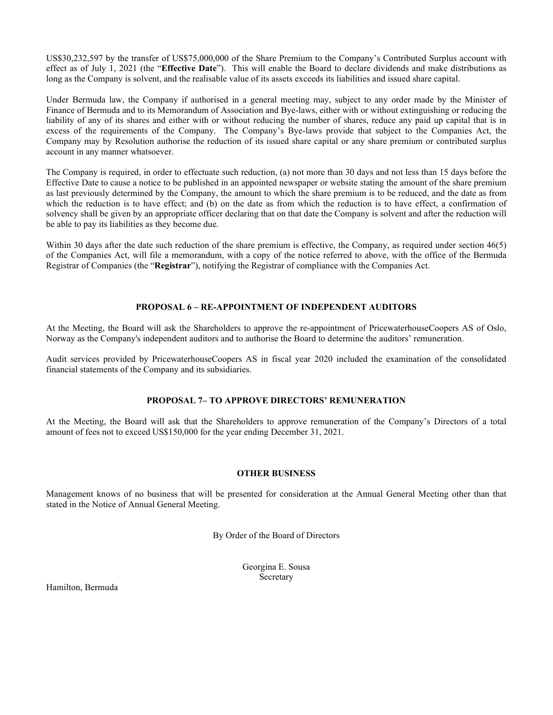US\$30,232,597 by the transfer of US\$75,000,000 of the Share Premium to the Company's Contributed Surplus account with effect as of July 1, 2021 (the "**Effective Date**"). This will enable the Board to declare dividends and make distributions as long as the Company is solvent, and the realisable value of its assets exceeds its liabilities and issued share capital.

Under Bermuda law, the Company if authorised in a general meeting may, subject to any order made by the Minister of Finance of Bermuda and to its Memorandum of Association and Bye-laws, either with or without extinguishing or reducing the liability of any of its shares and either with or without reducing the number of shares, reduce any paid up capital that is in excess of the requirements of the Company. The Company's Bye-laws provide that subject to the Companies Act, the Company may by Resolution authorise the reduction of its issued share capital or any share premium or contributed surplus account in any manner whatsoever.

The Company is required, in order to effectuate such reduction, (a) not more than 30 days and not less than 15 days before the Effective Date to cause a notice to be published in an appointed newspaper or website stating the amount of the share premium as last previously determined by the Company, the amount to which the share premium is to be reduced, and the date as from which the reduction is to have effect; and (b) on the date as from which the reduction is to have effect, a confirmation of solvency shall be given by an appropriate officer declaring that on that date the Company is solvent and after the reduction will be able to pay its liabilities as they become due.

Within 30 days after the date such reduction of the share premium is effective, the Company, as required under section 46(5) of the Companies Act, will file a memorandum, with a copy of the notice referred to above, with the office of the Bermuda Registrar of Companies (the "**Registrar**"), notifying the Registrar of compliance with the Companies Act.

# **PROPOSAL 6 – RE-APPOINTMENT OF INDEPENDENT AUDITORS**

At the Meeting, the Board will ask the Shareholders to approve the re-appointment of PricewaterhouseCoopers AS of Oslo, Norway as the Company's independent auditors and to authorise the Board to determine the auditors' remuneration.

Audit services provided by PricewaterhouseCoopers AS in fiscal year 2020 included the examination of the consolidated financial statements of the Company and its subsidiaries.

# **PROPOSAL 7– TO APPROVE DIRECTORS' REMUNERATION**

At the Meeting, the Board will ask that the Shareholders to approve remuneration of the Company's Directors of a total amount of fees not to exceed US\$150,000 for the year ending December 31, 2021.

#### **OTHER BUSINESS**

Management knows of no business that will be presented for consideration at the Annual General Meeting other than that stated in the Notice of Annual General Meeting.

By Order of the Board of Directors

Georgina E. Sousa Secretary

Hamilton, Bermuda